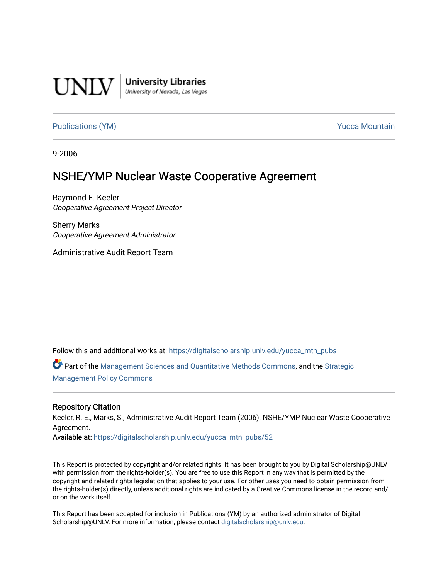

**University Libraries**<br>University of Nevada, Las Vegas

[Publications \(YM\)](https://digitalscholarship.unlv.edu/yucca_mtn_pubs) **Publications** (YM) **Publications** (YM)

9-2006

# NSHE/YMP Nuclear Waste Cooperative Agreement

Raymond E. Keeler Cooperative Agreement Project Director

Sherry Marks Cooperative Agreement Administrator

Administrative Audit Report Team

Follow this and additional works at: [https://digitalscholarship.unlv.edu/yucca\\_mtn\\_pubs](https://digitalscholarship.unlv.edu/yucca_mtn_pubs?utm_source=digitalscholarship.unlv.edu%2Fyucca_mtn_pubs%2F52&utm_medium=PDF&utm_campaign=PDFCoverPages)

Part of the [Management Sciences and Quantitative Methods Commons](http://network.bepress.com/hgg/discipline/637?utm_source=digitalscholarship.unlv.edu%2Fyucca_mtn_pubs%2F52&utm_medium=PDF&utm_campaign=PDFCoverPages), and the [Strategic](http://network.bepress.com/hgg/discipline/642?utm_source=digitalscholarship.unlv.edu%2Fyucca_mtn_pubs%2F52&utm_medium=PDF&utm_campaign=PDFCoverPages)  [Management Policy Commons](http://network.bepress.com/hgg/discipline/642?utm_source=digitalscholarship.unlv.edu%2Fyucca_mtn_pubs%2F52&utm_medium=PDF&utm_campaign=PDFCoverPages) 

#### Repository Citation

Keeler, R. E., Marks, S., Administrative Audit Report Team (2006). NSHE/YMP Nuclear Waste Cooperative Agreement.

Available at: [https://digitalscholarship.unlv.edu/yucca\\_mtn\\_pubs/52](https://digitalscholarship.unlv.edu/yucca_mtn_pubs/52) 

This Report is protected by copyright and/or related rights. It has been brought to you by Digital Scholarship@UNLV with permission from the rights-holder(s). You are free to use this Report in any way that is permitted by the copyright and related rights legislation that applies to your use. For other uses you need to obtain permission from the rights-holder(s) directly, unless additional rights are indicated by a Creative Commons license in the record and/ or on the work itself.

This Report has been accepted for inclusion in Publications (YM) by an authorized administrator of Digital Scholarship@UNLV. For more information, please contact [digitalscholarship@unlv.edu.](mailto:digitalscholarship@unlv.edu)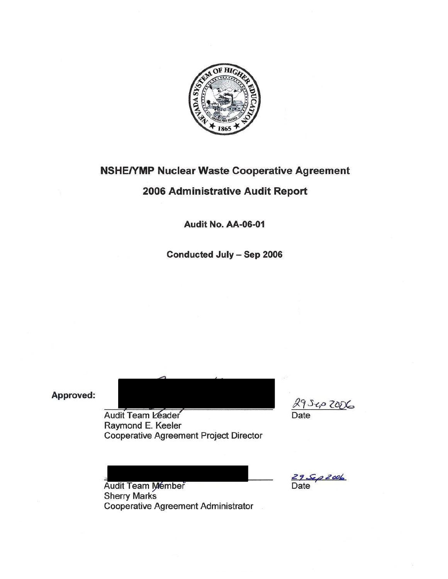

## **NSHE/YMP Nuclear Waste Cooperative Agreement**

# 2006 Administrative Audit Report

Audit No. AA-06-01

Conducted July - Sep 2006

Approved:

Audit Team Leader Raymond E. Keeler **Cooperative Agreement Project Director** 

Sep 2006

<u>≤9.⊊p 2006</u><br>Date

Audit Team Member **Sherry Marks Cooperative Agreement Administrator**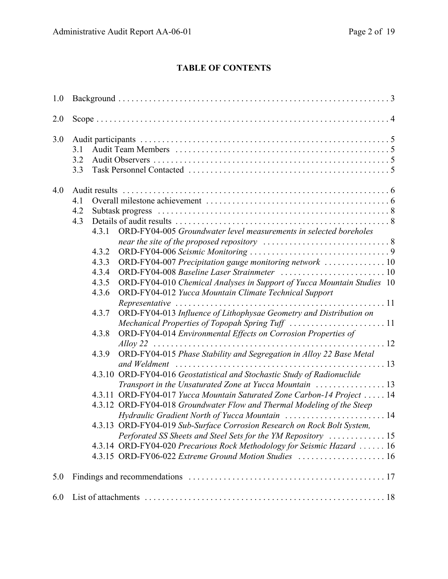## **TABLE OF CONTENTS**

| 1.0 |                   |                                                                               |                                                                                                                                                                                                                                                                                                                                                                                                                                                                                                                                                                                                                                                                                                                                                                                                                                                                                                                                                                                                                                             |  |
|-----|-------------------|-------------------------------------------------------------------------------|---------------------------------------------------------------------------------------------------------------------------------------------------------------------------------------------------------------------------------------------------------------------------------------------------------------------------------------------------------------------------------------------------------------------------------------------------------------------------------------------------------------------------------------------------------------------------------------------------------------------------------------------------------------------------------------------------------------------------------------------------------------------------------------------------------------------------------------------------------------------------------------------------------------------------------------------------------------------------------------------------------------------------------------------|--|
| 2.0 |                   |                                                                               |                                                                                                                                                                                                                                                                                                                                                                                                                                                                                                                                                                                                                                                                                                                                                                                                                                                                                                                                                                                                                                             |  |
| 3.0 | 3.1<br>3.2<br>3.3 |                                                                               |                                                                                                                                                                                                                                                                                                                                                                                                                                                                                                                                                                                                                                                                                                                                                                                                                                                                                                                                                                                                                                             |  |
| 4.0 | 4.1<br>4.2<br>4.3 | 4.3.1<br>4.3.2<br>4.3.3<br>4.3.4<br>4.3.5<br>4.3.6<br>4.3.7<br>4.3.8<br>4.3.9 | ORD-FY04-005 Groundwater level measurements in selected boreholes<br>ORD-FY04-007 Precipitation gauge monitoring network 10<br>ORD-FY04-010 Chemical Analyses in Support of Yucca Mountain Studies 10<br>ORD-FY04-012 Yucca Mountain Climate Technical Support<br>ORD-FY04-013 Influence of Lithophysae Geometry and Distribution on<br>Mechanical Properties of Topopah Spring Tuff 11<br>ORD-FY04-014 Environmental Effects on Corrosion Properties of<br>Alloy 22<br>ORD-FY04-015 Phase Stability and Segregation in Alloy 22 Base Metal<br>4.3.10 ORD-FY04-016 Geostatistical and Stochastic Study of Radionuclide<br>4.3.11 ORD-FY04-017 Yucca Mountain Saturated Zone Carbon-14 Project  14<br>4.3.12 ORD-FY04-018 Groundwater Flow and Thermal Modeling of the Steep<br>Hydraulic Gradient North of Yucca Mountain  14<br>4.3.13 ORD-FY04-019 Sub-Surface Corrosion Research on Rock Bolt System,<br>4.3.14 ORD-FY04-020 Precarious Rock Methodology for Seismic Hazard  16<br>4.3.15 ORD-FY06-022 Extreme Ground Motion Studies  16 |  |
| 5.0 |                   |                                                                               |                                                                                                                                                                                                                                                                                                                                                                                                                                                                                                                                                                                                                                                                                                                                                                                                                                                                                                                                                                                                                                             |  |
| 6.0 |                   |                                                                               |                                                                                                                                                                                                                                                                                                                                                                                                                                                                                                                                                                                                                                                                                                                                                                                                                                                                                                                                                                                                                                             |  |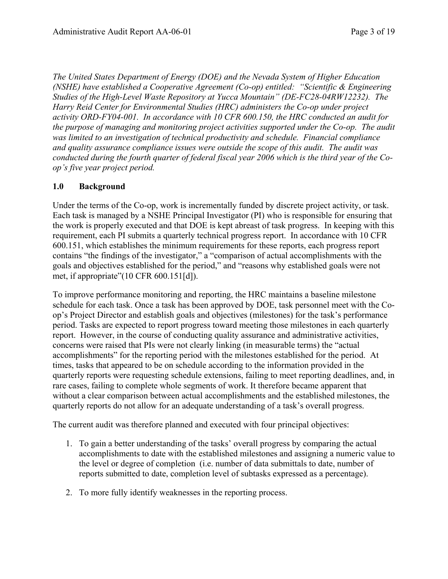*The United States Department of Energy (DOE) and the Nevada System of Higher Education (NSHE) have established a Cooperative Agreement (Co-op) entitled: "Scientific & Engineering Studies of the High-Level Waste Repository at Yucca Mountain" (DE-FC28-04RW12232). The Harry Reid Center for Environmental Studies (HRC) administers the Co-op under project activity ORD-FY04-001. In accordance with 10 CFR 600.150, the HRC conducted an audit for the purpose of managing and monitoring project activities supported under the Co-op. The audit was limited to an investigation of technical productivity and schedule. Financial compliance and quality assurance compliance issues were outside the scope of this audit. The audit was conducted during the fourth quarter of federal fiscal year 2006 which is the third year of the Coop's five year project period.* 

#### **1.0 Background**

Under the terms of the Co-op, work is incrementally funded by discrete project activity, or task. Each task is managed by a NSHE Principal Investigator (PI) who is responsible for ensuring that the work is properly executed and that DOE is kept abreast of task progress. In keeping with this requirement, each PI submits a quarterly technical progress report. In accordance with 10 CFR 600.151, which establishes the minimum requirements for these reports, each progress report contains "the findings of the investigator," a "comparison of actual accomplishments with the goals and objectives established for the period," and "reasons why established goals were not met, if appropriate"(10 CFR 600.151[d]).

To improve performance monitoring and reporting, the HRC maintains a baseline milestone schedule for each task. Once a task has been approved by DOE, task personnel meet with the Coop's Project Director and establish goals and objectives (milestones) for the task's performance period. Tasks are expected to report progress toward meeting those milestones in each quarterly report. However, in the course of conducting quality assurance and administrative activities, concerns were raised that PIs were not clearly linking (in measurable terms) the "actual accomplishments" for the reporting period with the milestones established for the period. At times, tasks that appeared to be on schedule according to the information provided in the quarterly reports were requesting schedule extensions, failing to meet reporting deadlines, and, in rare cases, failing to complete whole segments of work. It therefore became apparent that without a clear comparison between actual accomplishments and the established milestones, the quarterly reports do not allow for an adequate understanding of a task's overall progress.

The current audit was therefore planned and executed with four principal objectives:

- 1. To gain a better understanding of the tasks' overall progress by comparing the actual accomplishments to date with the established milestones and assigning a numeric value to the level or degree of completion (i.e. number of data submittals to date, number of reports submitted to date, completion level of subtasks expressed as a percentage).
- 2. To more fully identify weaknesses in the reporting process.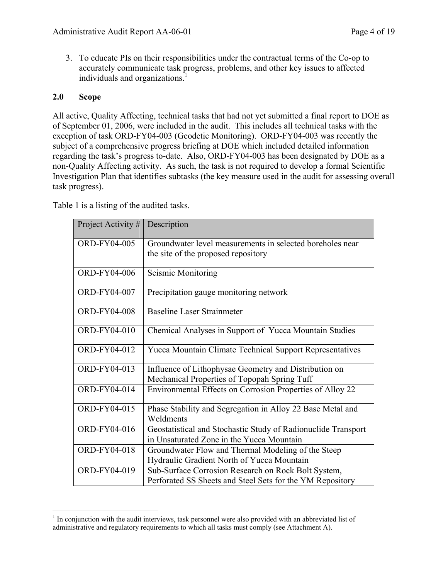3. To educate PIs on their responsibilities under the contractual terms of the Co-op to accurately communicate task progress, problems, and other key issues to affected individuals and organizations.<sup>1</sup>

#### **2.0 Scope**

 $\overline{a}$ 

All active, Quality Affecting, technical tasks that had not yet submitted a final report to DOE as of September 01, 2006, were included in the audit. This includes all technical tasks with the exception of task ORD-FY04-003 (Geodetic Monitoring). ORD-FY04-003 was recently the subject of a comprehensive progress briefing at DOE which included detailed information regarding the task's progress to-date. Also, ORD-FY04-003 has been designated by DOE as a non-Quality Affecting activity. As such, the task is not required to develop a formal Scientific Investigation Plan that identifies subtasks (the key measure used in the audit for assessing overall task progress).

Table 1 is a listing of the audited tasks.

| Project Activity #  | Description                                                                                                      |
|---------------------|------------------------------------------------------------------------------------------------------------------|
| <b>ORD-FY04-005</b> | Groundwater level measurements in selected boreholes near<br>the site of the proposed repository                 |
| ORD-FY04-006        | Seismic Monitoring                                                                                               |
| ORD-FY04-007        | Precipitation gauge monitoring network                                                                           |
| <b>ORD-FY04-008</b> | <b>Baseline Laser Strainmeter</b>                                                                                |
| ORD-FY04-010        | Chemical Analyses in Support of Yucca Mountain Studies                                                           |
| ORD-FY04-012        | Yucca Mountain Climate Technical Support Representatives                                                         |
| ORD-FY04-013        | Influence of Lithophysae Geometry and Distribution on<br>Mechanical Properties of Topopah Spring Tuff            |
| ORD-FY04-014        | Environmental Effects on Corrosion Properties of Alloy 22                                                        |
| ORD-FY04-015        | Phase Stability and Segregation in Alloy 22 Base Metal and<br>Weldments                                          |
| ORD-FY04-016        | Geostatistical and Stochastic Study of Radionuclide Transport<br>in Unsaturated Zone in the Yucca Mountain       |
| ORD-FY04-018        | Groundwater Flow and Thermal Modeling of the Steep<br>Hydraulic Gradient North of Yucca Mountain                 |
| ORD-FY04-019        | Sub-Surface Corrosion Research on Rock Bolt System,<br>Perforated SS Sheets and Steel Sets for the YM Repository |

<sup>&</sup>lt;sup>1</sup> In conjunction with the audit interviews, task personnel were also provided with an abbreviated list of administrative and regulatory requirements to which all tasks must comply (see Attachment A).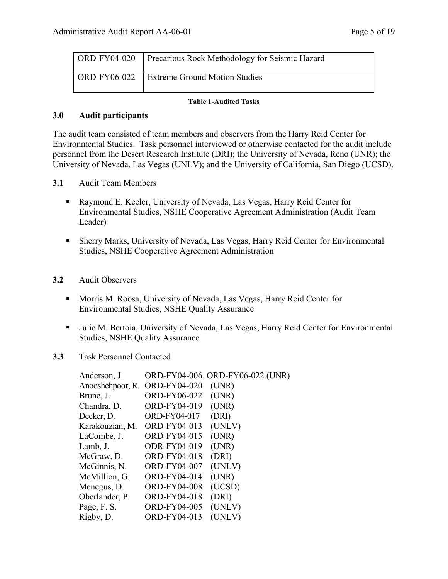| $\overline{ORD-FY04-020}$ | <b>Precarious Rock Methodology for Seismic Hazard</b> |
|---------------------------|-------------------------------------------------------|
| ORD-FY06-022              | <b>Extreme Ground Motion Studies</b>                  |

#### **Table 1-Audited Tasks**

#### **3.0 Audit participants**

The audit team consisted of team members and observers from the Harry Reid Center for Environmental Studies. Task personnel interviewed or otherwise contacted for the audit include personnel from the Desert Research Institute (DRI); the University of Nevada, Reno (UNR); the University of Nevada, Las Vegas (UNLV); and the University of California, San Diego (UCSD).

- **3.1** Audit Team Members
	- Raymond E. Keeler, University of Nevada, Las Vegas, Harry Reid Center for Environmental Studies, NSHE Cooperative Agreement Administration (Audit Team Leader)
	- Sherry Marks, University of Nevada, Las Vegas, Harry Reid Center for Environmental Studies, NSHE Cooperative Agreement Administration
- **3.2** Audit Observers
	- Morris M. Roosa, University of Nevada, Las Vegas, Harry Reid Center for Environmental Studies, NSHE Quality Assurance
	- Julie M. Bertoia, University of Nevada, Las Vegas, Harry Reid Center for Environmental Studies, NSHE Quality Assurance
- **3.3** Task Personnel Contacted

| Anderson, J.     |                     | ORD-FY04-006, ORD-FY06-022 (UNR) |
|------------------|---------------------|----------------------------------|
| Anooshehpoor, R. | <b>ORD-FY04-020</b> | (UNR)                            |
| Brune, J.        | ORD-FY06-022        | (UNR)                            |
| Chandra, D.      | ORD-FY04-019        | (UNR)                            |
| Decker, D.       | ORD-FY04-017        | (DRI)                            |
| Karakouzian, M.  | ORD-FY04-013        | (UNLV)                           |
| LaCombe, J.      | ORD-FY04-015        | (UNR)                            |
| Lamb, J.         | ODR-FY04-019        | (UNR)                            |
| McGraw, D.       | <b>ORD-FY04-018</b> | (DRI)                            |
| McGinnis, N.     | <b>ORD-FY04-007</b> | (UNLV)                           |
| McMillion, G.    | ORD-FY04-014        | (UNR)                            |
| Menegus, D.      | <b>ORD-FY04-008</b> | (UCSD)                           |
| Oberlander, P.   | ORD-FY04-018        | (DRI)                            |
| Page, F. S.      | <b>ORD-FY04-005</b> | (UNLV)                           |
| Rigby, D.        | ORD-FY04-013        | (UNLV)                           |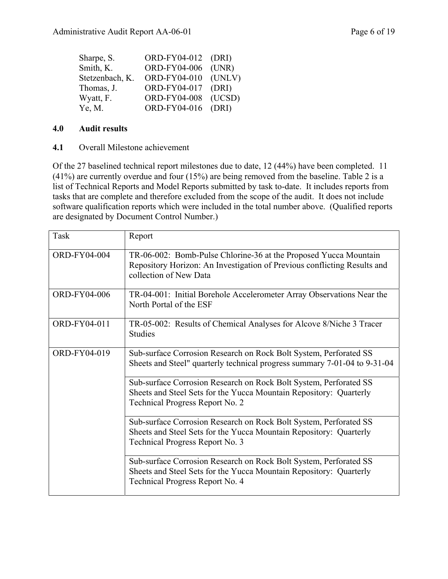| ORD-FY04-006 | (UNR)                                                    |
|--------------|----------------------------------------------------------|
|              | (UNLV)                                                   |
| ORD-FY04-017 | (DRI)                                                    |
| ORD-FY04-008 | (UCSD)                                                   |
|              |                                                          |
|              | ORD-FY04-012 (DRI)<br>ORD-FY04-010<br>ORD-FY04-016 (DRI) |

#### **4.0 Audit results**

#### **4.1** Overall Milestone achievement

Of the 27 baselined technical report milestones due to date, 12 (44%) have been completed. 11 (41%) are currently overdue and four (15%) are being removed from the baseline. Table 2 is a list of Technical Reports and Model Reports submitted by task to-date. It includes reports from tasks that are complete and therefore excluded from the scope of the audit. It does not include software qualification reports which were included in the total number above. (Qualified reports are designated by Document Control Number.)

| <b>Task</b>         | Report                                                                                                                                                                     |
|---------------------|----------------------------------------------------------------------------------------------------------------------------------------------------------------------------|
| <b>ORD-FY04-004</b> | TR-06-002: Bomb-Pulse Chlorine-36 at the Proposed Yucca Mountain<br>Repository Horizon: An Investigation of Previous conflicting Results and<br>collection of New Data     |
| ORD-FY04-006        | TR-04-001: Initial Borehole Accelerometer Array Observations Near the<br>North Portal of the ESF                                                                           |
| ORD-FY04-011        | TR-05-002: Results of Chemical Analyses for Alcove 8/Niche 3 Tracer<br><b>Studies</b>                                                                                      |
| ORD-FY04-019        | Sub-surface Corrosion Research on Rock Bolt System, Perforated SS<br>Sheets and Steel" quarterly technical progress summary 7-01-04 to 9-31-04                             |
|                     | Sub-surface Corrosion Research on Rock Bolt System, Perforated SS<br>Sheets and Steel Sets for the Yucca Mountain Repository: Quarterly<br>Technical Progress Report No. 2 |
|                     | Sub-surface Corrosion Research on Rock Bolt System, Perforated SS<br>Sheets and Steel Sets for the Yucca Mountain Repository: Quarterly<br>Technical Progress Report No. 3 |
|                     | Sub-surface Corrosion Research on Rock Bolt System, Perforated SS<br>Sheets and Steel Sets for the Yucca Mountain Repository: Quarterly<br>Technical Progress Report No. 4 |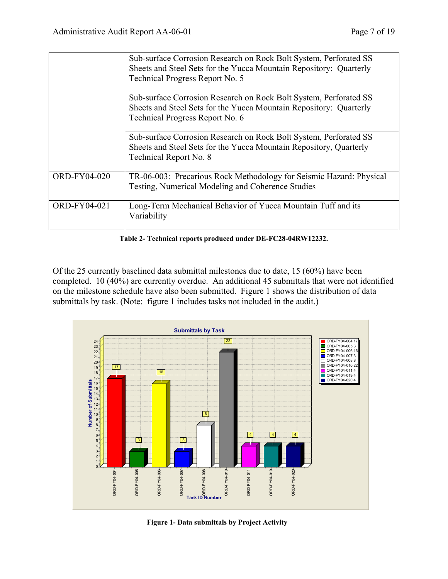|              | Sub-surface Corrosion Research on Rock Bolt System, Perforated SS<br>Sheets and Steel Sets for the Yucca Mountain Repository: Quarterly<br>Technical Progress Report No. 5 |
|--------------|----------------------------------------------------------------------------------------------------------------------------------------------------------------------------|
|              | Sub-surface Corrosion Research on Rock Bolt System, Perforated SS<br>Sheets and Steel Sets for the Yucca Mountain Repository: Quarterly<br>Technical Progress Report No. 6 |
|              | Sub-surface Corrosion Research on Rock Bolt System, Perforated SS<br>Sheets and Steel Sets for the Yucca Mountain Repository, Quarterly<br>Technical Report No. 8          |
| ORD-FY04-020 | TR-06-003: Precarious Rock Methodology for Seismic Hazard: Physical<br>Testing, Numerical Modeling and Coherence Studies                                                   |
| ORD-FY04-021 | Long-Term Mechanical Behavior of Yucca Mountain Tuff and its<br>Variability                                                                                                |

**Table 2- Technical reports produced under DE-FC28-04RW12232.** 

Of the 25 currently baselined data submittal milestones due to date, 15 (60%) have been completed. 10 (40%) are currently overdue. An additional 45 submittals that were not identified on the milestone schedule have also been submitted. Figure 1 shows the distribution of data submittals by task. (Note: figure 1 includes tasks not included in the audit.)



**Figure 1- Data submittals by Project Activity**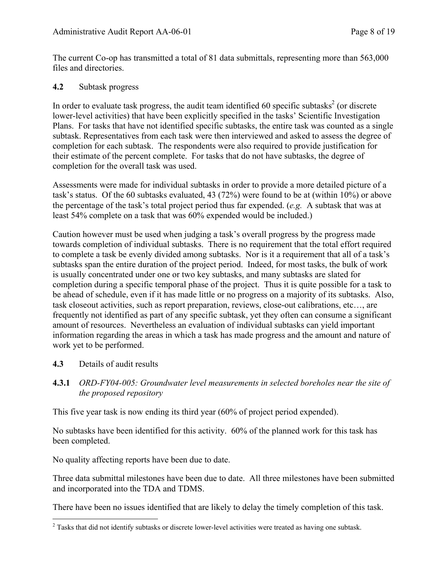The current Co-op has transmitted a total of 81 data submittals, representing more than 563,000 files and directories.

#### **4.2** Subtask progress

In order to evaluate task progress, the audit team identified 60 specific subtasks<sup>2</sup> (or discrete lower-level activities) that have been explicitly specified in the tasks' Scientific Investigation Plans. For tasks that have not identified specific subtasks, the entire task was counted as a single subtask. Representatives from each task were then interviewed and asked to assess the degree of completion for each subtask. The respondents were also required to provide justification for their estimate of the percent complete. For tasks that do not have subtasks, the degree of completion for the overall task was used.

Assessments were made for individual subtasks in order to provide a more detailed picture of a task's status. Of the 60 subtasks evaluated, 43 (72%) were found to be at (within 10%) or above the percentage of the task's total project period thus far expended. (*e.g.* A subtask that was at least 54% complete on a task that was 60% expended would be included.)

Caution however must be used when judging a task's overall progress by the progress made towards completion of individual subtasks. There is no requirement that the total effort required to complete a task be evenly divided among subtasks. Nor is it a requirement that all of a task's subtasks span the entire duration of the project period. Indeed, for most tasks, the bulk of work is usually concentrated under one or two key subtasks, and many subtasks are slated for completion during a specific temporal phase of the project. Thus it is quite possible for a task to be ahead of schedule, even if it has made little or no progress on a majority of its subtasks. Also, task closeout activities, such as report preparation, reviews, close-out calibrations, etc…, are frequently not identified as part of any specific subtask, yet they often can consume a significant amount of resources. Nevertheless an evaluation of individual subtasks can yield important information regarding the areas in which a task has made progress and the amount and nature of work yet to be performed.

#### **4.3** Details of audit results

**4.3.1** *ORD-FY04-005: Groundwater level measurements in selected boreholes near the site of the proposed repository* 

This five year task is now ending its third year (60% of project period expended).

No subtasks have been identified for this activity. 60% of the planned work for this task has been completed.

No quality affecting reports have been due to date.

Three data submittal milestones have been due to date. All three milestones have been submitted and incorporated into the TDA and TDMS.

There have been no issues identified that are likely to delay the timely completion of this task.

<sup>&</sup>lt;sup>2</sup> Tasks that did not identify subtasks or discrete lower-level activities were treated as having one subtask.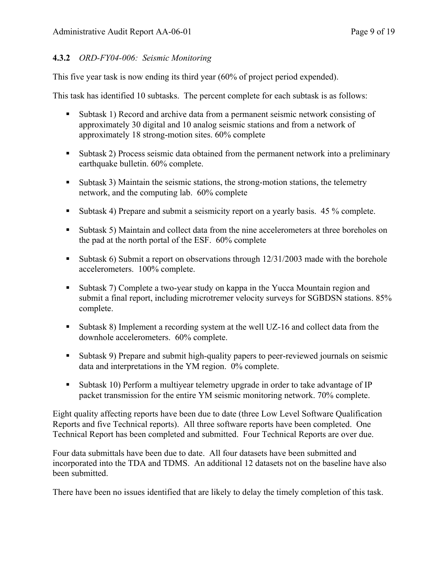## **4.3.2** *ORD-FY04-006: Seismic Monitoring*

This five year task is now ending its third year (60% of project period expended).

This task has identified 10 subtasks. The percent complete for each subtask is as follows:

- Subtask 1) Record and archive data from a permanent seismic network consisting of approximately 30 digital and 10 analog seismic stations and from a network of approximately 18 strong-motion sites. 60% complete
- Subtask 2) Process seismic data obtained from the permanent network into a preliminary earthquake bulletin. 60% complete.
- Subtask 3) Maintain the seismic stations, the strong-motion stations, the telemetry network, and the computing lab. 60% complete
- Subtask 4) Prepare and submit a seismicity report on a yearly basis. 45 % complete.
- Subtask 5) Maintain and collect data from the nine accelerometers at three boreholes on the pad at the north portal of the ESF. 60% complete
- Subtask 6) Submit a report on observations through  $12/31/2003$  made with the borehole accelerometers. 100% complete.
- Subtask 7) Complete a two-year study on kappa in the Yucca Mountain region and submit a final report, including microtremer velocity surveys for SGBDSN stations. 85% complete.
- Subtask 8) Implement a recording system at the well UZ-16 and collect data from the downhole accelerometers. 60% complete.
- Subtask 9) Prepare and submit high-quality papers to peer-reviewed journals on seismic data and interpretations in the YM region. 0% complete.
- Subtask 10) Perform a multiyear telemetry upgrade in order to take advantage of IP packet transmission for the entire YM seismic monitoring network. 70% complete.

Eight quality affecting reports have been due to date (three Low Level Software Qualification Reports and five Technical reports). All three software reports have been completed. One Technical Report has been completed and submitted. Four Technical Reports are over due.

Four data submittals have been due to date. All four datasets have been submitted and incorporated into the TDA and TDMS. An additional 12 datasets not on the baseline have also been submitted.

There have been no issues identified that are likely to delay the timely completion of this task.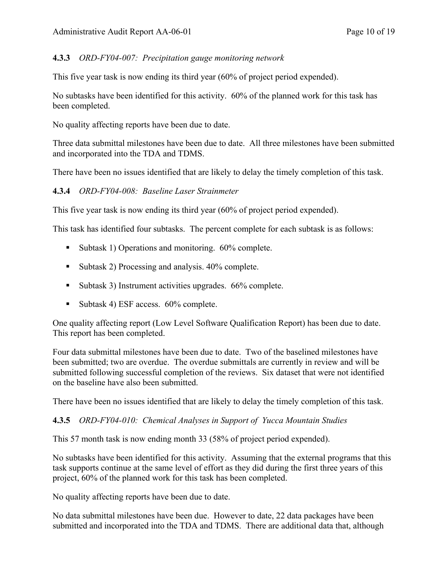## **4.3.3** *ORD-FY04-007: Precipitation gauge monitoring network*

This five year task is now ending its third year (60% of project period expended).

No subtasks have been identified for this activity. 60% of the planned work for this task has been completed.

No quality affecting reports have been due to date.

Three data submittal milestones have been due to date. All three milestones have been submitted and incorporated into the TDA and TDMS.

There have been no issues identified that are likely to delay the timely completion of this task.

**4.3.4** *ORD-FY04-008: Baseline Laser Strainmeter* 

This five year task is now ending its third year (60% of project period expended).

This task has identified four subtasks. The percent complete for each subtask is as follows:

- Subtask 1) Operations and monitoring. 60% complete.
- Subtask 2) Processing and analysis. 40% complete.
- Subtask 3) Instrument activities upgrades. 66% complete.
- Subtask 4) ESF access. 60% complete.

One quality affecting report (Low Level Software Qualification Report) has been due to date. This report has been completed.

Four data submittal milestones have been due to date. Two of the baselined milestones have been submitted; two are overdue. The overdue submittals are currently in review and will be submitted following successful completion of the reviews. Six dataset that were not identified on the baseline have also been submitted.

There have been no issues identified that are likely to delay the timely completion of this task.

#### **4.3.5** *ORD-FY04-010: Chemical Analyses in Support of Yucca Mountain Studies*

This 57 month task is now ending month 33 (58% of project period expended).

No subtasks have been identified for this activity. Assuming that the external programs that this task supports continue at the same level of effort as they did during the first three years of this project, 60% of the planned work for this task has been completed.

No quality affecting reports have been due to date.

No data submittal milestones have been due. However to date, 22 data packages have been submitted and incorporated into the TDA and TDMS. There are additional data that, although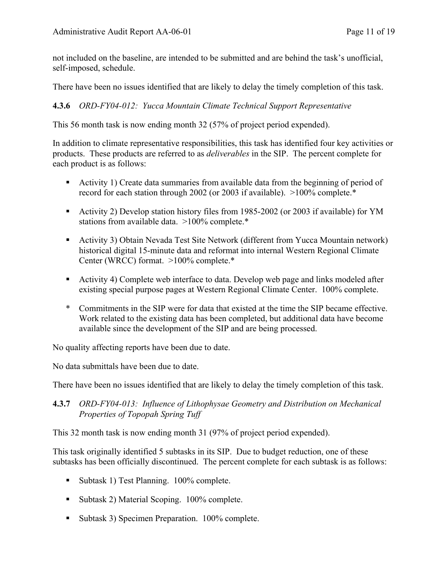not included on the baseline, are intended to be submitted and are behind the task's unofficial, self-imposed, schedule.

There have been no issues identified that are likely to delay the timely completion of this task.

## **4.3.6** *ORD-FY04-012: Yucca Mountain Climate Technical Support Representative*

This 56 month task is now ending month 32 (57% of project period expended).

In addition to climate representative responsibilities, this task has identified four key activities or products. These products are referred to as *deliverables* in the SIP. The percent complete for each product is as follows:

- Activity 1) Create data summaries from available data from the beginning of period of record for each station through 2002 (or 2003 if available). >100% complete.\*
- Activity 2) Develop station history files from 1985-2002 (or 2003 if available) for YM stations from available data. >100% complete.\*
- Activity 3) Obtain Nevada Test Site Network (different from Yucca Mountain network) historical digital 15-minute data and reformat into internal Western Regional Climate Center (WRCC) format. >100% complete.\*
- Activity 4) Complete web interface to data. Develop web page and links modeled after existing special purpose pages at Western Regional Climate Center. 100% complete.
- \* Commitments in the SIP were for data that existed at the time the SIP became effective. Work related to the existing data has been completed, but additional data have become available since the development of the SIP and are being processed.

No quality affecting reports have been due to date.

No data submittals have been due to date.

There have been no issues identified that are likely to delay the timely completion of this task.

**4.3.7** *ORD-FY04-013: Influence of Lithophysae Geometry and Distribution on Mechanical Properties of Topopah Spring Tuff* 

This 32 month task is now ending month 31 (97% of project period expended).

This task originally identified 5 subtasks in its SIP. Due to budget reduction, one of these subtasks has been officially discontinued. The percent complete for each subtask is as follows:

- Subtask 1) Test Planning. 100% complete.
- Subtask 2) Material Scoping. 100% complete.
- Subtask 3) Specimen Preparation. 100% complete.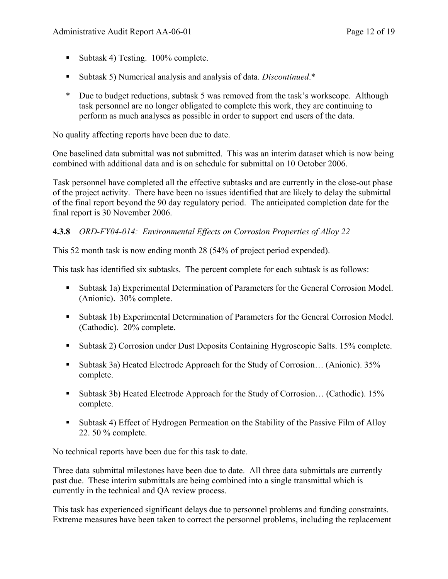- Subtask 4) Testing. 100% complete.
- Subtask 5) Numerical analysis and analysis of data. *Discontinued*.\*
- \* Due to budget reductions, subtask 5 was removed from the task's workscope. Although task personnel are no longer obligated to complete this work, they are continuing to perform as much analyses as possible in order to support end users of the data.

No quality affecting reports have been due to date.

One baselined data submittal was not submitted. This was an interim dataset which is now being combined with additional data and is on schedule for submittal on 10 October 2006.

Task personnel have completed all the effective subtasks and are currently in the close-out phase of the project activity. There have been no issues identified that are likely to delay the submittal of the final report beyond the 90 day regulatory period. The anticipated completion date for the final report is 30 November 2006.

#### **4.3.8** *ORD-FY04-014: Environmental Effects on Corrosion Properties of Alloy 22*

This 52 month task is now ending month 28 (54% of project period expended).

This task has identified six subtasks. The percent complete for each subtask is as follows:

- Subtask 1a) Experimental Determination of Parameters for the General Corrosion Model. (Anionic). 30% complete.
- Subtask 1b) Experimental Determination of Parameters for the General Corrosion Model. (Cathodic). 20% complete.
- Subtask 2) Corrosion under Dust Deposits Containing Hygroscopic Salts. 15% complete.
- Subtask 3a) Heated Electrode Approach for the Study of Corrosion... (Anionic). 35% complete.
- Subtask 3b) Heated Electrode Approach for the Study of Corrosion... (Cathodic). 15% complete.
- Subtask 4) Effect of Hydrogen Permeation on the Stability of the Passive Film of Alloy 22. 50 % complete.

No technical reports have been due for this task to date.

Three data submittal milestones have been due to date. All three data submittals are currently past due. These interim submittals are being combined into a single transmittal which is currently in the technical and QA review process.

This task has experienced significant delays due to personnel problems and funding constraints. Extreme measures have been taken to correct the personnel problems, including the replacement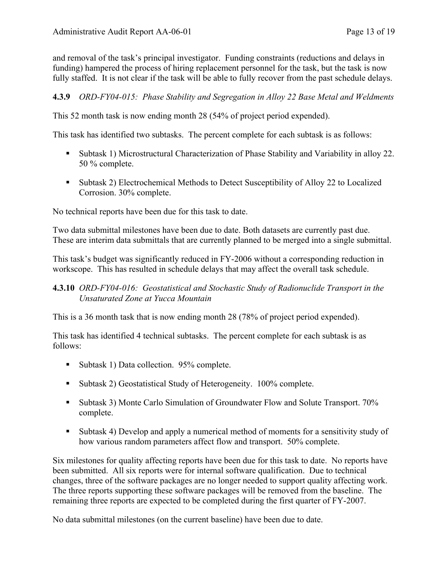and removal of the task's principal investigator. Funding constraints (reductions and delays in funding) hampered the process of hiring replacement personnel for the task, but the task is now fully staffed. It is not clear if the task will be able to fully recover from the past schedule delays.

#### **4.3.9** *ORD-FY04-015: Phase Stability and Segregation in Alloy 22 Base Metal and Weldments*

This 52 month task is now ending month 28 (54% of project period expended).

This task has identified two subtasks. The percent complete for each subtask is as follows:

- Subtask 1) Microstructural Characterization of Phase Stability and Variability in alloy 22. 50 % complete.
- Subtask 2) Electrochemical Methods to Detect Susceptibility of Alloy 22 to Localized Corrosion. 30% complete.

No technical reports have been due for this task to date.

Two data submittal milestones have been due to date. Both datasets are currently past due. These are interim data submittals that are currently planned to be merged into a single submittal.

This task's budget was significantly reduced in FY-2006 without a corresponding reduction in workscope. This has resulted in schedule delays that may affect the overall task schedule.

#### **4.3.10** *ORD-FY04-016: Geostatistical and Stochastic Study of Radionuclide Transport in the Unsaturated Zone at Yucca Mountain*

This is a 36 month task that is now ending month 28 (78% of project period expended).

This task has identified 4 technical subtasks. The percent complete for each subtask is as follows:

- Subtask 1) Data collection. 95% complete.
- Subtask 2) Geostatistical Study of Heterogeneity. 100% complete.
- Subtask 3) Monte Carlo Simulation of Groundwater Flow and Solute Transport. 70% complete.
- Subtask 4) Develop and apply a numerical method of moments for a sensitivity study of how various random parameters affect flow and transport. 50% complete.

Six milestones for quality affecting reports have been due for this task to date. No reports have been submitted. All six reports were for internal software qualification. Due to technical changes, three of the software packages are no longer needed to support quality affecting work. The three reports supporting these software packages will be removed from the baseline. The remaining three reports are expected to be completed during the first quarter of FY-2007.

No data submittal milestones (on the current baseline) have been due to date.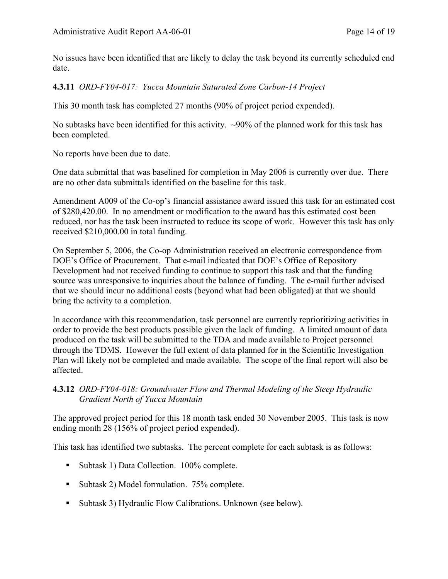No issues have been identified that are likely to delay the task beyond its currently scheduled end date.

## **4.3.11** *ORD-FY04-017: Yucca Mountain Saturated Zone Carbon-14 Project*

This 30 month task has completed 27 months (90% of project period expended).

No subtasks have been identified for this activity.  $\sim$ 90% of the planned work for this task has been completed.

No reports have been due to date.

One data submittal that was baselined for completion in May 2006 is currently over due. There are no other data submittals identified on the baseline for this task.

Amendment A009 of the Co-op's financial assistance award issued this task for an estimated cost of \$280,420.00. In no amendment or modification to the award has this estimated cost been reduced, nor has the task been instructed to reduce its scope of work. However this task has only received \$210,000.00 in total funding.

On September 5, 2006, the Co-op Administration received an electronic correspondence from DOE's Office of Procurement. That e-mail indicated that DOE's Office of Repository Development had not received funding to continue to support this task and that the funding source was unresponsive to inquiries about the balance of funding. The e-mail further advised that we should incur no additional costs (beyond what had been obligated) at that we should bring the activity to a completion.

In accordance with this recommendation, task personnel are currently reprioritizing activities in order to provide the best products possible given the lack of funding. A limited amount of data produced on the task will be submitted to the TDA and made available to Project personnel through the TDMS. However the full extent of data planned for in the Scientific Investigation Plan will likely not be completed and made available. The scope of the final report will also be affected.

## **4.3.12** *ORD-FY04-018: Groundwater Flow and Thermal Modeling of the Steep Hydraulic Gradient North of Yucca Mountain*

The approved project period for this 18 month task ended 30 November 2005. This task is now ending month 28 (156% of project period expended).

This task has identified two subtasks. The percent complete for each subtask is as follows:

- Subtask 1) Data Collection. 100% complete.
- Subtask 2) Model formulation. 75% complete.
- Subtask 3) Hydraulic Flow Calibrations. Unknown (see below).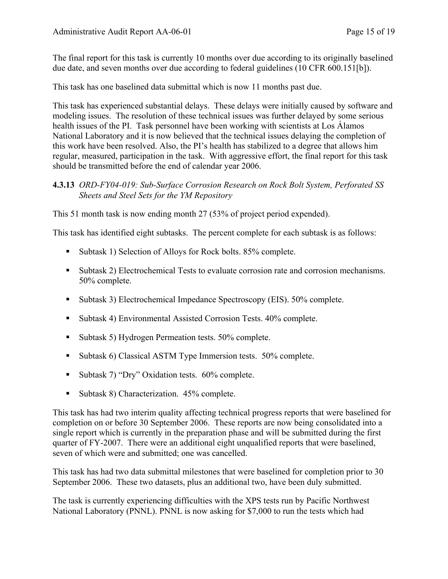The final report for this task is currently 10 months over due according to its originally baselined due date, and seven months over due according to federal guidelines (10 CFR 600.151[b]).

This task has one baselined data submittal which is now 11 months past due.

This task has experienced substantial delays. These delays were initially caused by software and modeling issues. The resolution of these technical issues was further delayed by some serious health issues of the PI. Task personnel have been working with scientists at Los Álamos National Laboratory and it is now believed that the technical issues delaying the completion of this work have been resolved. Also, the PI's health has stabilized to a degree that allows him regular, measured, participation in the task. With aggressive effort, the final report for this task should be transmitted before the end of calendar year 2006.

#### **4.3.13** *ORD-FY04-019: Sub-Surface Corrosion Research on Rock Bolt System, Perforated SS Sheets and Steel Sets for the YM Repository*

This 51 month task is now ending month 27 (53% of project period expended).

This task has identified eight subtasks. The percent complete for each subtask is as follows:

- Subtask 1) Selection of Alloys for Rock bolts. 85% complete.
- Subtask 2) Electrochemical Tests to evaluate corrosion rate and corrosion mechanisms. 50% complete.
- Subtask 3) Electrochemical Impedance Spectroscopy (EIS). 50% complete.
- Subtask 4) Environmental Assisted Corrosion Tests. 40% complete.
- Subtask 5) Hydrogen Permeation tests. 50% complete.
- Subtask 6) Classical ASTM Type Immersion tests. 50% complete.
- Subtask 7) "Dry" Oxidation tests. 60% complete.
- Subtask 8) Characterization. 45% complete.

This task has had two interim quality affecting technical progress reports that were baselined for completion on or before 30 September 2006. These reports are now being consolidated into a single report which is currently in the preparation phase and will be submitted during the first quarter of FY-2007. There were an additional eight unqualified reports that were baselined, seven of which were and submitted; one was cancelled.

This task has had two data submittal milestones that were baselined for completion prior to 30 September 2006. These two datasets, plus an additional two, have been duly submitted.

The task is currently experiencing difficulties with the XPS tests run by Pacific Northwest National Laboratory (PNNL). PNNL is now asking for \$7,000 to run the tests which had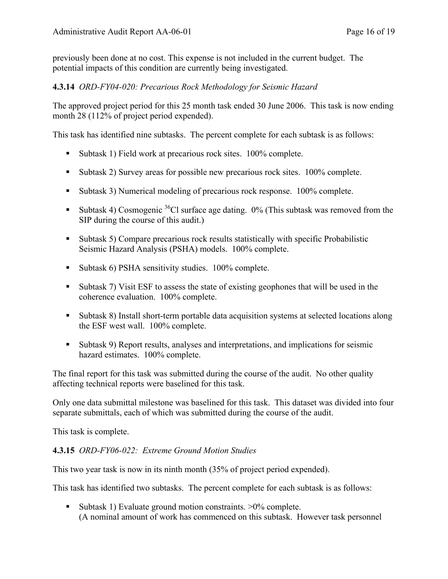previously been done at no cost. This expense is not included in the current budget. The potential impacts of this condition are currently being investigated.

## **4.3.14** *ORD-FY04-020: Precarious Rock Methodology for Seismic Hazard*

The approved project period for this 25 month task ended 30 June 2006. This task is now ending month 28 (112% of project period expended).

This task has identified nine subtasks. The percent complete for each subtask is as follows:

- Subtask 1) Field work at precarious rock sites. 100% complete.
- Subtask 2) Survey areas for possible new precarious rock sites. 100% complete.
- Subtask 3) Numerical modeling of precarious rock response. 100% complete.
- Subtask 4) Cosmogenic <sup>36</sup>Cl surface age dating.  $0\%$  (This subtask was removed from the SIP during the course of this audit.)
- Subtask 5) Compare precarious rock results statistically with specific Probabilistic Seismic Hazard Analysis (PSHA) models. 100% complete.
- Subtask 6) PSHA sensitivity studies. 100% complete.
- Subtask 7) Visit ESF to assess the state of existing geophones that will be used in the coherence evaluation. 100% complete.
- Subtask 8) Install short-term portable data acquisition systems at selected locations along the ESF west wall. 100% complete.
- Subtask 9) Report results, analyses and interpretations, and implications for seismic hazard estimates. 100% complete.

The final report for this task was submitted during the course of the audit. No other quality affecting technical reports were baselined for this task.

Only one data submittal milestone was baselined for this task. This dataset was divided into four separate submittals, each of which was submitted during the course of the audit.

This task is complete.

#### **4.3.15** *ORD-FY06-022: Extreme Ground Motion Studies*

This two year task is now in its ninth month (35% of project period expended).

This task has identified two subtasks. The percent complete for each subtask is as follows:

 Subtask 1) Evaluate ground motion constraints. >0% complete. (A nominal amount of work has commenced on this subtask. However task personnel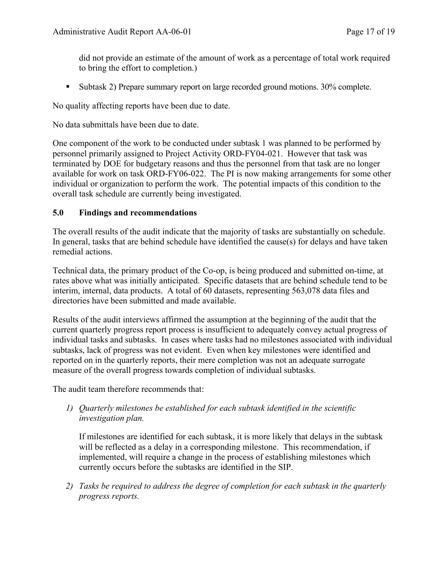did not provide an estimate of the amount of work as a percentage of total work required to bring the effort to completion.)

Subtask 2) Prepare summary report on large recorded ground motions. 30% complete.

No quality affecting reports have been due to date.

No data submittals have been due to date.

One component of the work to be conducted under subtask 1 was planned to be performed by personnel primarily assigned to Project Activity ORD-FY04-021. However that task was terminated by DOE for budgetary reasons and thus the personnel from that task are no longer available for work on task ORD-FY06-022. The PI is now making arrangements for some other individual or organization to perform the work. The potential impacts of this condition to the overall task schedule are currently being investigated.

## **5.0 Findings and recommendations**

The overall results of the audit indicate that the majority of tasks are substantially on schedule. In general, tasks that are behind schedule have identified the cause(s) for delays and have taken remedial actions.

Technical data, the primary product of the Co-op, is being produced and submitted on-time, at rates above what was initially anticipated. Specific datasets that are behind schedule tend to be interim, internal, data products. A total of 60 datasets, representing 563,078 data files and directories have been submitted and made available.

Results of the audit interviews affirmed the assumption at the beginning of the audit that the current quarterly progress report process is insufficient to adequately convey actual progress of individual tasks and subtasks. In cases where tasks had no milestones associated with individual subtasks, lack of progress was not evident. Even when key milestones were identified and reported on in the quarterly reports, their mere completion was not an adequate surrogate measure of the overall progress towards completion of individual subtasks.

The audit team therefore recommends that:

*1) Quarterly milestones be established for each subtask identified in the scientific investigation plan.* 

If milestones are identified for each subtask, it is more likely that delays in the subtask will be reflected as a delay in a corresponding milestone. This recommendation, if implemented, will require a change in the process of establishing milestones which currently occurs before the subtasks are identified in the SIP.

*2) Tasks be required to address the degree of completion for each subtask in the quarterly progress reports.*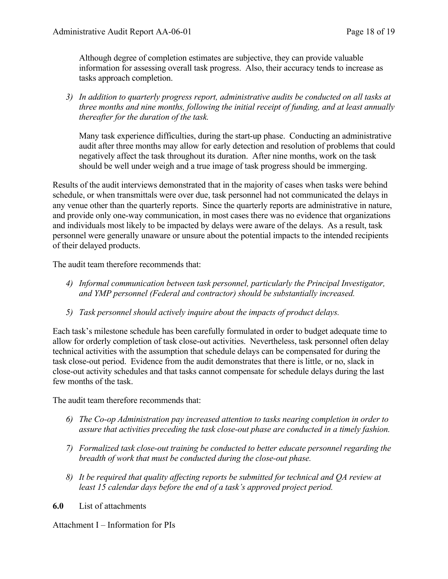Although degree of completion estimates are subjective, they can provide valuable information for assessing overall task progress. Also, their accuracy tends to increase as tasks approach completion.

*3) In addition to quarterly progress report, administrative audits be conducted on all tasks at three months and nine months, following the initial receipt of funding, and at least annually thereafter for the duration of the task.* 

Many task experience difficulties, during the start-up phase. Conducting an administrative audit after three months may allow for early detection and resolution of problems that could negatively affect the task throughout its duration. After nine months, work on the task should be well under weigh and a true image of task progress should be immerging.

Results of the audit interviews demonstrated that in the majority of cases when tasks were behind schedule, or when transmittals were over due, task personnel had not communicated the delays in any venue other than the quarterly reports. Since the quarterly reports are administrative in nature, and provide only one-way communication, in most cases there was no evidence that organizations and individuals most likely to be impacted by delays were aware of the delays. As a result, task personnel were generally unaware or unsure about the potential impacts to the intended recipients of their delayed products.

The audit team therefore recommends that:

- *4) Informal communication between task personnel, particularly the Principal Investigator, and YMP personnel (Federal and contractor) should be substantially increased.*
- *5) Task personnel should actively inquire about the impacts of product delays.*

Each task's milestone schedule has been carefully formulated in order to budget adequate time to allow for orderly completion of task close-out activities. Nevertheless, task personnel often delay technical activities with the assumption that schedule delays can be compensated for during the task close-out period. Evidence from the audit demonstrates that there is little, or no, slack in close-out activity schedules and that tasks cannot compensate for schedule delays during the last few months of the task.

The audit team therefore recommends that:

- *6) The Co-op Administration pay increased attention to tasks nearing completion in order to assure that activities preceding the task close-out phase are conducted in a timely fashion.*
- *7) Formalized task close-out training be conducted to better educate personnel regarding the breadth of work that must be conducted during the close-out phase.*
- *8) It be required that quality affecting reports be submitted for technical and QA review at least 15 calendar days before the end of a task's approved project period.*
- **6.0** List of attachments

Attachment I – Information for PIs